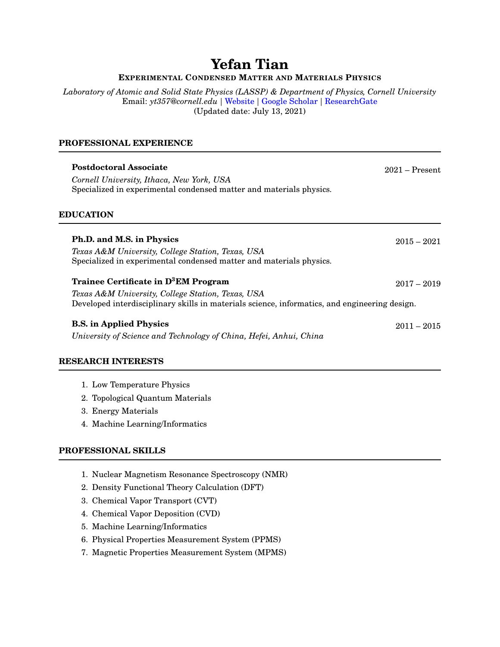# **Yefan Tian**

## **EXPERIMENTAL CONDENSED MATTER AND MATERIALS PHYSICS**

*Laboratory of Atomic and Solid State Physics (LASSP) & Department of Physics, Cornell University* Email: *yt357@cornell.edu* | [Website](https://www.yefantian.com/) | [Google Scholar](https://scholar.google.com/citations?user=WT-QoHYAAAAJ&hl=en) | [ResearchGate](https://www.researchgate.net/profile/Yefan_Tian2) (Updated date: July 13, 2021)

## **PROFESSIONAL EXPERIENCE**

| <b>Postdoctoral Associate</b>                                                                                                                      | $2021 -$ Present |
|----------------------------------------------------------------------------------------------------------------------------------------------------|------------------|
| Cornell University, Ithaca, New York, USA<br>Specialized in experimental condensed matter and materials physics.                                   |                  |
| <b>EDUCATION</b>                                                                                                                                   |                  |
| Ph.D. and M.S. in Physics                                                                                                                          | $2015 - 2021$    |
| Texas A&M University, College Station, Texas, USA<br>Specialized in experimental condensed matter and materials physics.                           |                  |
| Trainee Certificate in D <sup>3</sup> EM Program                                                                                                   | $2017 - 2019$    |
| Texas A&M University, College Station, Texas, USA<br>Developed interdisciplinary skills in materials science, informatics, and engineering design. |                  |
| <b>B.S.</b> in Applied Physics                                                                                                                     | $2011 - 2015$    |
| University of Science and Technology of China, Hefei, Anhui, China                                                                                 |                  |
| <b>RESEARCH INTERESTS</b>                                                                                                                          |                  |
| 1. Low Temperature Physics                                                                                                                         |                  |
| 2. Topological Quantum Materials                                                                                                                   |                  |
| 3. Energy Materials                                                                                                                                |                  |
| 4. Machine Learning/Informatics                                                                                                                    |                  |

## **PROFESSIONAL SKILLS**

- 1. Nuclear Magnetism Resonance Spectroscopy (NMR)
- 2. Density Functional Theory Calculation (DFT)
- 3. Chemical Vapor Transport (CVT)
- 4. Chemical Vapor Deposition (CVD)
- 5. Machine Learning/Informatics
- 6. Physical Properties Measurement System (PPMS)
- 7. Magnetic Properties Measurement System (MPMS)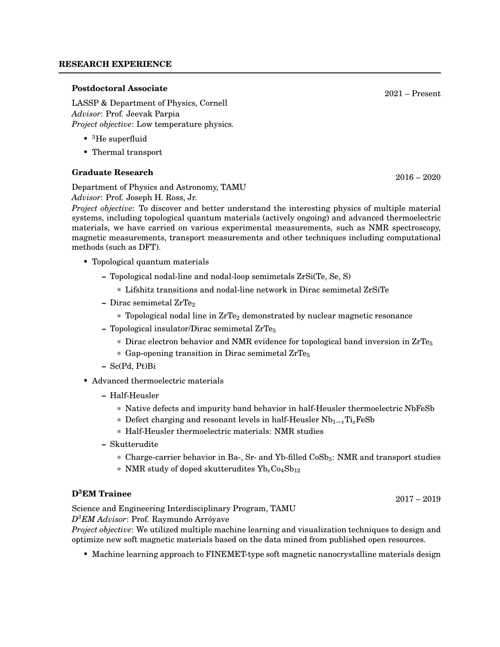## **RESEARCH EXPERIENCE**

## **Postdoctoral Associate** 2021 – Present

LASSP & Department of Physics, Cornell *Advisor*: Prof. Jeevak Parpia *Project objective*: Low temperature physics.

- <sup>3</sup>He superfluid
- Thermal transport

## **Graduate Research** 2016 – 2020

Department of Physics and Astronomy, TAMU *Advisor*: Prof. Joseph H. Ross, Jr.

*Project objective*: To discover and better understand the interesting physics of multiple material systems, including topological quantum materials (actively ongoing) and advanced thermoelectric materials, we have carried on various experimental measurements, such as NMR spectroscopy, magnetic measurements, transport measurements and other techniques including computational methods (such as DFT).

- Topological quantum materials
	- **–** Topological nodal-line and nodal-loop semimetals ZrSi(Te, Se, S)
		- \* Lifshitz transitions and nodal-line network in Dirac semimetal ZrSiTe
	- **–** Dirac semimetal ZrTe<sub>2</sub>
		- $*$  Topological nodal line in ZrTe<sub>2</sub> demonstrated by nuclear magnetic resonance
	- **–** Topological insulator/Dirac semimetal ZrTe<sup>5</sup>
		- \* Dirac electron behavior and NMR evidence for topological band inversion in  $\rm ZrTe_5$
		- \* Gap-opening transition in Dirac semimetal  $\rm ZrTe_5$
	- **–** Sc(Pd, Pt)Bi
- Advanced thermoelectric materials
	- **–** Half-Heusler
		- \* Native defects and impurity band behavior in half-Heusler thermoelectric NbFeSb
		- \* Defect charging and resonant levels in half-Heusler Nb<sup>1</sup>−*<sup>x</sup>*Ti*x*FeSb
		- \* Half-Heusler thermoelectric materials: NMR studies
	- **–** Skutterudite
		- \* Charge-carrier behavior in Ba-, Sr- and Yb-filled CoSb3: NMR and transport studies
		- \* NMR study of doped skutterudites Yb*x*Co4Sb<sup>12</sup>

## **<sup>D</sup><sup>3</sup>EM Trainee** 2017 – 2019

Science and Engineering Interdisciplinary Program, TAMU *D<sup>3</sup>EM Advisor*: Prof. Raymundo Arroyave ´

*Project objective*: We utilized multiple machine learning and visualization techniques to design and optimize new soft magnetic materials based on the data mined from published open resources.

• Machine learning approach to FINEMET-type soft magnetic nanocrystalline materials design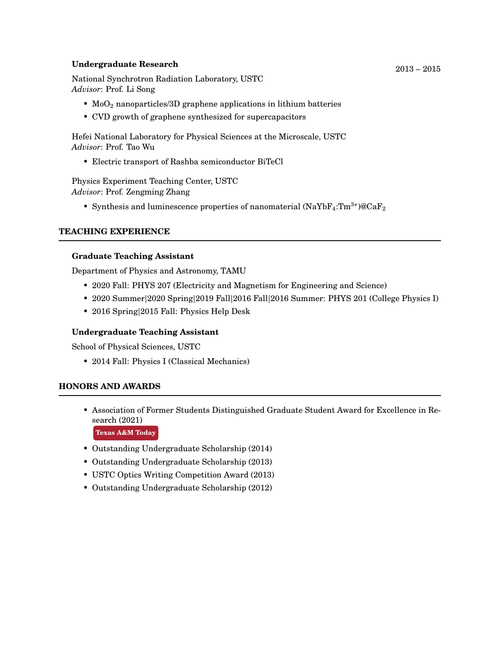## **Undergraduate Research** 2013 – 2015

National Synchrotron Radiation Laboratory, USTC *Advisor*: Prof. Li Song

- $MoO<sub>2</sub>$  nanoparticles/3D graphene applications in lithium batteries
- CVD growth of graphene synthesized for supercapacitors

Hefei National Laboratory for Physical Sciences at the Microscale, USTC *Advisor*: Prof. Tao Wu

• Electric transport of Rashba semiconductor BiTeCl

Physics Experiment Teaching Center, USTC *Advisor*: Prof. Zengming Zhang

• Synthesis and luminescence properties of nanomaterial (NaYbF<sub>4</sub>:Tm<sup>3+</sup>)@CaF<sub>2</sub>

## **TEACHING EXPERIENCE**

## **Graduate Teaching Assistant**

Department of Physics and Astronomy, TAMU

- 2020 Fall: PHYS 207 (Electricity and Magnetism for Engineering and Science)
- 2020 Summer|2020 Spring|2019 Fall|2016 Fall|2016 Summer: PHYS 201 (College Physics I)
- 2016 Spring|2015 Fall: Physics Help Desk

## **Undergraduate Teaching Assistant**

School of Physical Sciences, USTC

• 2014 Fall: Physics I (Classical Mechanics)

## **HONORS AND AWARDS**

• Association of Former Students Distinguished Graduate Student Award for Excellence in Research (2021)

**[Texas A&M Today](https://today.tamu.edu/2021/04/23/texas-am-announces-2021-distinguished-graduate-student-award-recipients/)**

- Outstanding Undergraduate Scholarship (2014)
- Outstanding Undergraduate Scholarship (2013)
- USTC Optics Writing Competition Award (2013)
- Outstanding Undergraduate Scholarship (2012)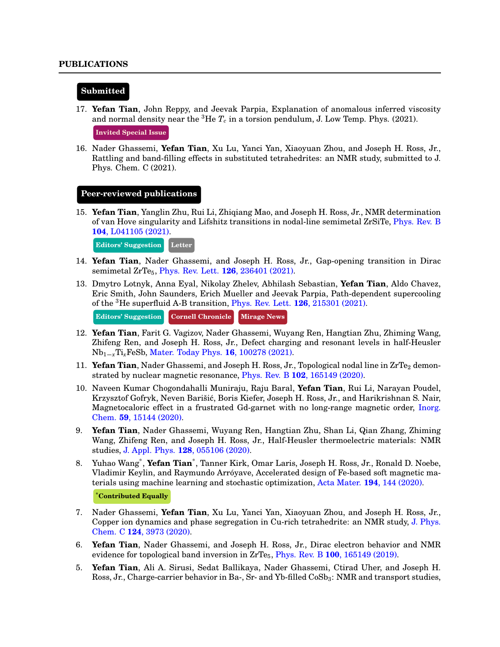#### **Submitted**

- 17. **Yefan Tian**, John Reppy, and Jeevak Parpia, Explanation of anomalous inferred viscosity and normal density near the <sup>3</sup>He  $T_c$  in a torsion pendulum, J. Low Temp. Phys. (2021). **Invited Special Issue**
- 16. Nader Ghassemi, **Yefan Tian**, Xu Lu, Yanci Yan, Xiaoyuan Zhou, and Joseph H. Ross, Jr., Rattling and band-filling effects in substituted tetrahedrites: an NMR study, submitted to J. Phys. Chem. C (2021).

#### **Peer-reviewed publications**

15. **Yefan Tian**, Yanglin Zhu, Rui Li, Zhiqiang Mao, and Joseph H. Ross, Jr., NMR determination of van Hove singularity and Lifshitz transitions in nodal-line semimetal ZrSiTe, [Phys. Rev. B](https://journals.aps.org/prb/abstract/10.1103/PhysRevB.104.L041105) **104**[, L041105 \(2021\).](https://journals.aps.org/prb/abstract/10.1103/PhysRevB.104.L041105)

**Editors' Suggestion Letter**

- 14. **Yefan Tian**, Nader Ghassemi, and Joseph H. Ross, Jr., Gap-opening transition in Dirac semimetal ZrTe5, [Phys. Rev. Lett.](https://journals.aps.org/prl/abstract/10.1103/PhysRevLett.126.236401) **126**, 236401 (2021).
- 13. Dmytro Lotnyk, Anna Eyal, Nikolay Zhelev, Abhilash Sebastian, **Yefan Tian**, Aldo Chavez, Eric Smith, John Saunders, Erich Mueller and Jeevak Parpia, Path-dependent supercooling of the <sup>3</sup>He superfluid A-B transition, [Phys. Rev. Lett.](https://journals.aps.org/prl/abstract/10.1103/PhysRevLett.126.215301) **126**, 215301 (2021).

```
Editors' Suggestion Cornell Chronicle Mirage News
```
- 12. **Yefan Tian**, Farit G. Vagizov, Nader Ghassemi, Wuyang Ren, Hangtian Zhu, Zhiming Wang, Zhifeng Ren, and Joseph H. Ross, Jr., Defect charging and resonant levels in half-Heusler Nb<sup>1</sup>−*<sup>x</sup>*Ti*x*FeSb, [Mater. Today Phys.](https://doi.org/10.1016/j.mtphys.2020.100278) **16**, 100278 (2021).
- 11. Yefan Tian, Nader Ghassemi, and Joseph H. Ross, Jr., Topological nodal line in ZrTe<sub>2</sub> demonstrated by nuclear magnetic resonance, Phys. Rev. B **102**[, 165149 \(2020\).](https://journals.aps.org/prb/abstract/10.1103/PhysRevB.102.165149)
- 10. Naveen Kumar Chogondahalli Muniraju, Raju Baral, **Yefan Tian**, Rui Li, Narayan Poudel, Krzysztof Gofryk, Neven Barišić, Boris Kiefer, Joseph H. Ross, Jr., and Harikrishnan S. Nair, Magnetocaloric effect in a frustrated Gd-garnet with no long-range magnetic order, [Inorg.](https://pubs.acs.org/doi/10.1021/acs.inorgchem.0c02074) Chem. **59**[, 15144 \(2020\).](https://pubs.acs.org/doi/10.1021/acs.inorgchem.0c02074)
- 9. **Yefan Tian**, Nader Ghassemi, Wuyang Ren, Hangtian Zhu, Shan Li, Qian Zhang, Zhiming Wang, Zhifeng Ren, and Joseph H. Ross, Jr., Half-Heusler thermoelectric materials: NMR studies, J. Appl. Phys. **128**[, 055106 \(2020\).](https://aip.scitation.org/doi/10.1063/5.0018260)
- 8. Yuhao Wang<sup>\*</sup>, Yefan Tian<sup>\*</sup>, Tanner Kirk, Omar Laris, Joseph H. Ross, Jr., Ronald D. Noebe, Vladimir Keylin, and Raymundo Arróyave, Accelerated design of Fe-based soft magnetic materials using machine learning and stochastic optimization, Acta Mater. **194**[, 144 \(2020\).](https://www.sciencedirect.com/science/article/abs/pii/S1359645420303451?via%3Dihub)

## **\*Contributed Equally**

- 7. Nader Ghassemi, **Yefan Tian**, Xu Lu, Yanci Yan, Xiaoyuan Zhou, and Joseph H. Ross, Jr., Copper ion dynamics and phase segregation in Cu-rich tetrahedrite: an NMR study, [J. Phys.](https://pubs.acs.org/doi/10.1021/acs.jpcc.9b10845) Chem. C **124**[, 3973 \(2020\).](https://pubs.acs.org/doi/10.1021/acs.jpcc.9b10845)
- 6. **Yefan Tian**, Nader Ghassemi, and Joseph H. Ross, Jr., Dirac electron behavior and NMR evidence for topological band inversion in ZrTe5, Phys. Rev. B **100**[, 165149 \(2019\).](https://journals.aps.org/prb/abstract/10.1103/PhysRevB.100.165149)
- 5. **Yefan Tian**, Ali A. Sirusi, Sedat Ballikaya, Nader Ghassemi, Ctirad Uher, and Joseph H. Ross, Jr., Charge-carrier behavior in Ba-, Sr- and Yb-filled CoSb<sub>3</sub>: NMR and transport studies,